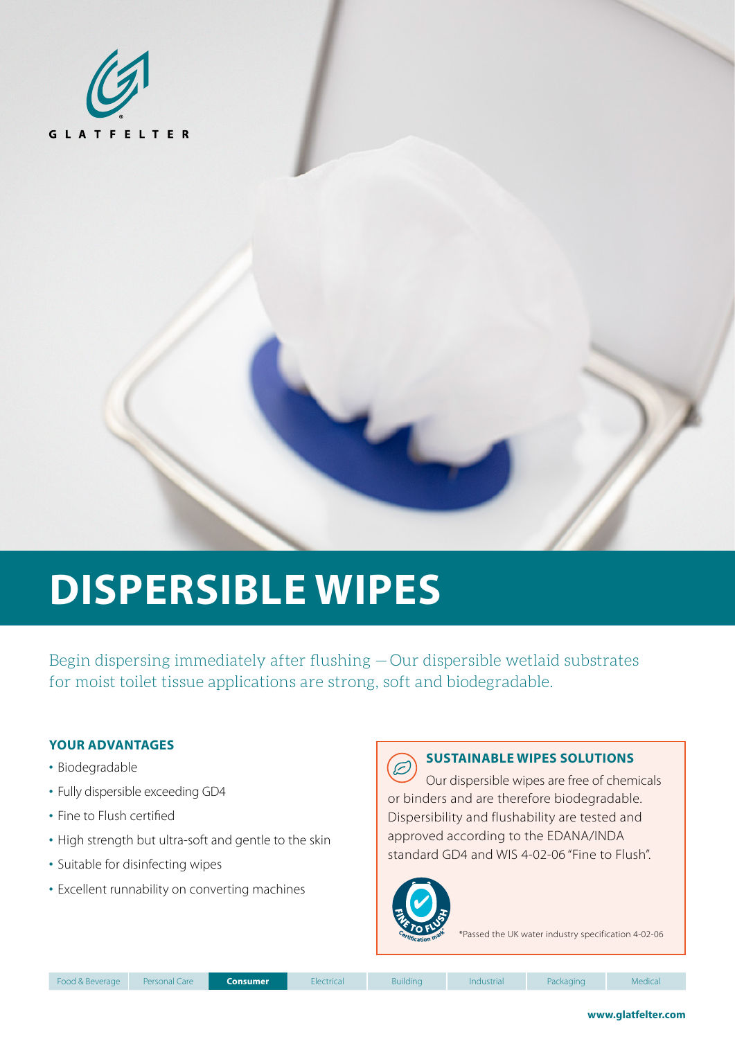

# **DISPERSIBLE WIPES**

Begin dispersing immediately after flushing —Our dispersible wetlaid substrates for moist toilet tissue applications are strong, soft and biodegradable.

#### **YOUR ADVANTAGES**

- Biodegradable
- Fully dispersible exceeding GD4
- Fine to Flush certified
- High strength but ultra-soft and gentle to the skin
- Suitable for disinfecting wipes
- Excellent runnability on converting machines



#### **SUSTAINABLE WIPES SOLUTIONS**

Our dispersible wipes are free of chemicals or binders and are therefore biodegradable. Dispersibility and flushability are tested and approved according to the EDANA/INDA standard GD4 and WIS 4-02-06 "Fine to Flush".



\*Passed the UK water industry specification 4-02-06